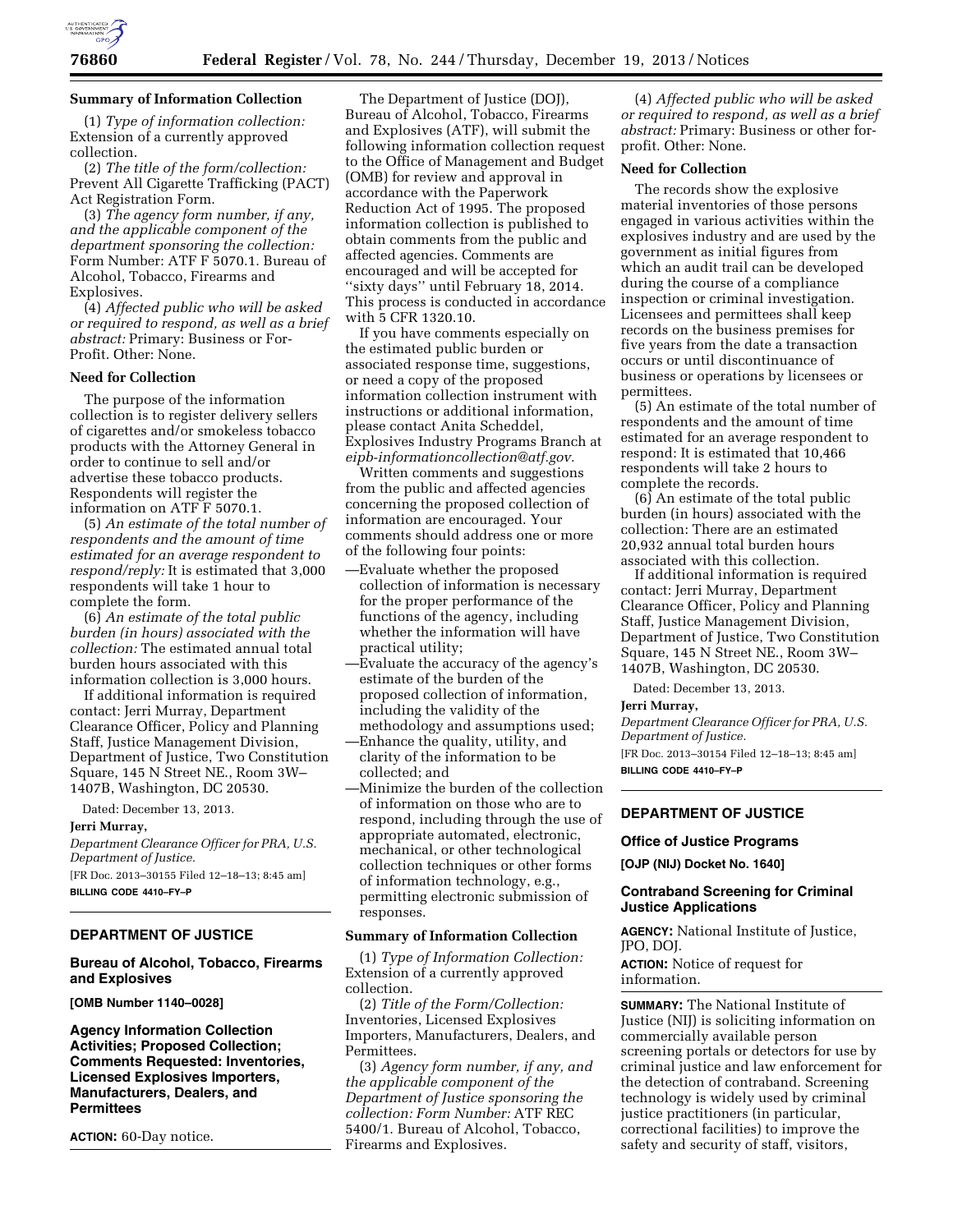

### **Summary of Information Collection**

(1) *Type of information collection:*  Extension of a currently approved collection.

(2) *The title of the form/collection:*  Prevent All Cigarette Trafficking (PACT) Act Registration Form.

(3) *The agency form number, if any, and the applicable component of the department sponsoring the collection:*  Form Number: ATF F 5070.1. Bureau of Alcohol, Tobacco, Firearms and Explosives.

(4) *Affected public who will be asked or required to respond, as well as a brief abstract:* Primary: Business or For-Profit. Other: None.

### **Need for Collection**

The purpose of the information collection is to register delivery sellers of cigarettes and/or smokeless tobacco products with the Attorney General in order to continue to sell and/or advertise these tobacco products. Respondents will register the information on ATF F 5070.1.

(5) *An estimate of the total number of respondents and the amount of time estimated for an average respondent to respond/reply:* It is estimated that 3,000 respondents will take 1 hour to complete the form.

(6) *An estimate of the total public burden (in hours) associated with the collection:* The estimated annual total burden hours associated with this information collection is 3,000 hours.

If additional information is required contact: Jerri Murray, Department Clearance Officer, Policy and Planning Staff, Justice Management Division, Department of Justice, Two Constitution Square, 145 N Street NE., Room 3W– 1407B, Washington, DC 20530.

Dated: December 13, 2013.

#### **Jerri Murray,**

*Department Clearance Officer for PRA, U.S. Department of Justice.* 

[FR Doc. 2013–30155 Filed 12–18–13; 8:45 am] **BILLING CODE 4410–FY–P** 

### **DEPARTMENT OF JUSTICE**

### **Bureau of Alcohol, Tobacco, Firearms and Explosives**

**[OMB Number 1140–0028]** 

**Agency Information Collection Activities; Proposed Collection; Comments Requested: Inventories, Licensed Explosives Importers, Manufacturers, Dealers, and Permittees** 

**ACTION:** 60-Day notice.

The Department of Justice (DOJ), Bureau of Alcohol, Tobacco, Firearms and Explosives (ATF), will submit the following information collection request to the Office of Management and Budget (OMB) for review and approval in accordance with the Paperwork Reduction Act of 1995. The proposed information collection is published to obtain comments from the public and affected agencies. Comments are encouraged and will be accepted for ''sixty days'' until February 18, 2014. This process is conducted in accordance with 5 CFR 1320.10.

If you have comments especially on the estimated public burden or associated response time, suggestions, or need a copy of the proposed information collection instrument with instructions or additional information, please contact Anita Scheddel, Explosives Industry Programs Branch at *[eipb-informationcollection@atf.gov.](mailto:eipb-informationcollection@atf.gov)* 

Written comments and suggestions from the public and affected agencies concerning the proposed collection of information are encouraged. Your comments should address one or more of the following four points:

- —Evaluate whether the proposed collection of information is necessary for the proper performance of the functions of the agency, including whether the information will have practical utility;
- —Evaluate the accuracy of the agency's estimate of the burden of the proposed collection of information, including the validity of the methodology and assumptions used;
- —Enhance the quality, utility, and clarity of the information to be collected; and
- —Minimize the burden of the collection of information on those who are to respond, including through the use of appropriate automated, electronic, mechanical, or other technological collection techniques or other forms of information technology, e.g., permitting electronic submission of responses.

## **Summary of Information Collection**

(1) *Type of Information Collection:*  Extension of a currently approved collection.

(2) *Title of the Form/Collection:*  Inventories, Licensed Explosives Importers, Manufacturers, Dealers, and Permittees.

(3) *Agency form number, if any, and the applicable component of the Department of Justice sponsoring the collection: Form Number:* ATF REC 5400/1. Bureau of Alcohol, Tobacco, Firearms and Explosives.

(4) *Affected public who will be asked or required to respond, as well as a brief abstract:* Primary: Business or other forprofit. Other: None.

# **Need for Collection**

The records show the explosive material inventories of those persons engaged in various activities within the explosives industry and are used by the government as initial figures from which an audit trail can be developed during the course of a compliance inspection or criminal investigation. Licensees and permittees shall keep records on the business premises for five years from the date a transaction occurs or until discontinuance of business or operations by licensees or permittees.

(5) An estimate of the total number of respondents and the amount of time estimated for an average respondent to respond: It is estimated that 10,466 respondents will take 2 hours to complete the records.

(6) An estimate of the total public burden (in hours) associated with the collection: There are an estimated 20,932 annual total burden hours associated with this collection.

If additional information is required contact: Jerri Murray, Department Clearance Officer, Policy and Planning Staff, Justice Management Division, Department of Justice, Two Constitution Square, 145 N Street NE., Room 3W– 1407B, Washington, DC 20530.

Dated: December 13, 2013.

#### **Jerri Murray,**

*Department Clearance Officer for PRA, U.S. Department of Justice.*  [FR Doc. 2013–30154 Filed 12–18–13; 8:45 am]

**BILLING CODE 4410–FY–P** 

# **DEPARTMENT OF JUSTICE**

### **Office of Justice Programs**

**[OJP (NIJ) Docket No. 1640]** 

# **Contraband Screening for Criminal Justice Applications**

**AGENCY:** National Institute of Justice, JPO, DOJ.

**ACTION:** Notice of request for information.

**SUMMARY:** The National Institute of Justice (NIJ) is soliciting information on commercially available person screening portals or detectors for use by criminal justice and law enforcement for the detection of contraband. Screening technology is widely used by criminal justice practitioners (in particular, correctional facilities) to improve the safety and security of staff, visitors,